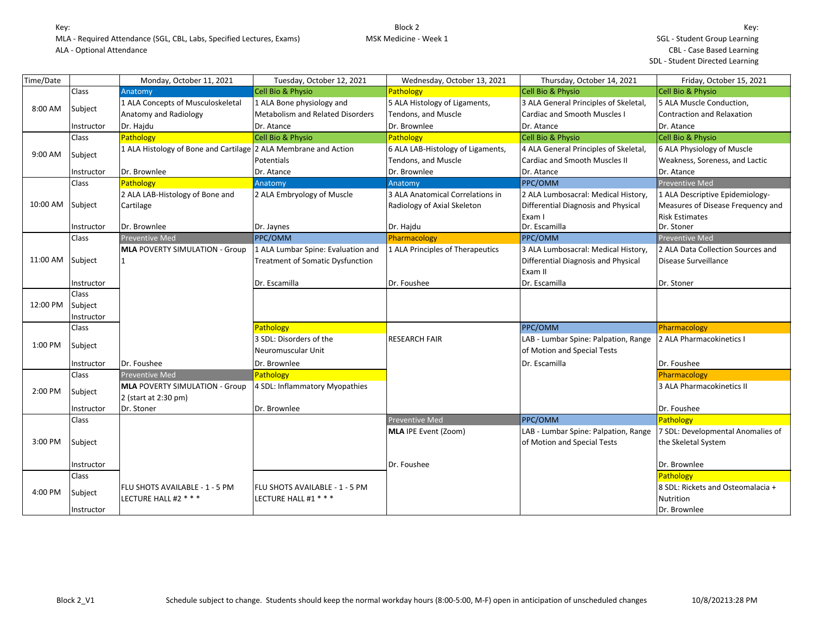| Time/Date |              | Monday, October 11, 2021                                        | Tuesday, October 12, 2021               | Wednesday, October 13, 2021       | Thursday, October 14, 2021            | Friday, October 15, 2021          |
|-----------|--------------|-----------------------------------------------------------------|-----------------------------------------|-----------------------------------|---------------------------------------|-----------------------------------|
|           | Class        | Anatomy                                                         | Cell Bio & Physio                       | Pathology                         | Cell Bio & Physio                     | Cell Bio & Physio                 |
|           |              | 1 ALA Concepts of Musculoskeletal                               | 1 ALA Bone physiology and               | 5 ALA Histology of Ligaments,     | 3 ALA General Principles of Skeletal, | 5 ALA Muscle Conduction,          |
| 8:00 AM   | Subject      | Anatomy and Radiology                                           | <b>Metabolism and Related Disorders</b> | Tendons, and Muscle               | <b>Cardiac and Smooth Muscles I</b>   | Contraction and Relaxation        |
|           | Instructor   | Dr. Hajdu                                                       | Dr. Atance                              | Dr. Brownlee                      | Dr. Atance                            | Dr. Atance                        |
|           | Class        | Pathology                                                       | <b>Cell Bio &amp; Physio</b>            | Pathology                         | <b>Cell Bio &amp; Physio</b>          | Cell Bio & Physio                 |
| 9:00 AM   | Subject      | 1 ALA Histology of Bone and Cartilage 2 ALA Membrane and Action |                                         | 6 ALA LAB-Histology of Ligaments, | 4 ALA General Principles of Skeletal, | 6 ALA Physiology of Muscle        |
|           |              |                                                                 | Potentials                              | Tendons, and Muscle               | <b>Cardiac and Smooth Muscles II</b>  | Weakness, Soreness, and Lactic    |
|           | Instructor   | Dr. Brownlee                                                    | Dr. Atance                              | Dr. Brownlee                      | Dr. Atance                            | Dr. Atance                        |
|           | Class        | Pathology                                                       | Anatomy                                 | Anatomy                           | PPC/OMM                               | Preventive Med                    |
|           |              | 2 ALA LAB-Histology of Bone and                                 | 2 ALA Embryology of Muscle              | 3 ALA Anatomical Correlations in  | 2 ALA Lumbosacral: Medical History,   | 1 ALA Descriptive Epidemiology-   |
| 10:00 AM  | Subject      | Cartilage                                                       |                                         | Radiology of Axial Skeleton       | Differential Diagnosis and Physical   | Measures of Disease Frequency and |
|           |              |                                                                 |                                         |                                   | Exam I                                | <b>Risk Estimates</b>             |
|           | Instructor   | Dr. Brownlee                                                    | Dr. Jaynes                              | Dr. Hajdu                         | Dr. Escamilla                         | Dr. Stoner                        |
|           | Class        | <b>Preventive Med</b>                                           | PPC/OMM                                 | Pharmacology                      | PPC/OMM                               | <b>Preventive Med</b>             |
|           |              | <b>MLA POVERTY SIMULATION - Group</b>                           | 1 ALA Lumbar Spine: Evaluation and      | 1 ALA Principles of Therapeutics  | 3 ALA Lumbosacral: Medical History,   | 2 ALA Data Collection Sources and |
| 11:00 AM  | Subject      | 11                                                              | <b>Treatment of Somatic Dysfunction</b> |                                   | Differential Diagnosis and Physical   | Disease Surveillance              |
|           |              |                                                                 |                                         |                                   | Exam II                               |                                   |
|           | Instructor   |                                                                 | Dr. Escamilla                           | Dr. Foushee                       | Dr. Escamilla                         | Dr. Stoner                        |
|           | <b>Class</b> |                                                                 |                                         |                                   |                                       |                                   |
| 12:00 PM  | Subject      |                                                                 |                                         |                                   |                                       |                                   |
|           | Instructor   |                                                                 |                                         |                                   |                                       |                                   |
|           | Class        |                                                                 | Pathology                               |                                   | PPC/OMM                               | Pharmacology                      |
| 1:00 PM   |              |                                                                 | 3 SDL: Disorders of the                 | <b>RESEARCH FAIR</b>              | LAB - Lumbar Spine: Palpation, Range  | 2 ALA Pharmacokinetics I          |
|           | Subject      |                                                                 | Neuromuscular Unit                      |                                   | of Motion and Special Tests           |                                   |
|           | Instructor   | Dr. Foushee                                                     | Dr. Brownlee                            |                                   | Dr. Escamilla                         | Dr. Foushee                       |
|           | Class        | <b>Preventive Med</b>                                           | Pathology                               |                                   |                                       | Pharmacology                      |
| 2:00 PM   | Subject      | <b>MLA POVERTY SIMULATION - Group</b>                           | 4 SDL: Inflammatory Myopathies          |                                   |                                       | 3 ALA Pharmacokinetics II         |
|           |              | 2 (start at 2:30 pm)                                            |                                         |                                   |                                       |                                   |
|           | Instructor   | Dr. Stoner                                                      | Dr. Brownlee                            |                                   |                                       | Dr. Foushee                       |
|           | Class        |                                                                 |                                         | <b>Preventive Med</b>             | PPC/OMM                               | Pathology                         |
|           |              |                                                                 |                                         | MLA IPE Event (Zoom)              | LAB - Lumbar Spine: Palpation, Range  | 7 SDL: Developmental Anomalies of |
| 3:00 PM   | Subject      |                                                                 |                                         |                                   | of Motion and Special Tests           | the Skeletal System               |
|           |              |                                                                 |                                         |                                   |                                       |                                   |
|           | Instructor   |                                                                 |                                         | Dr. Foushee                       |                                       | Dr. Brownlee                      |
|           | Class        |                                                                 |                                         |                                   |                                       | Pathology                         |
| 4:00 PM   | Subject      | lFLU SHOTS AVAILABLE - 1 - 5 PM                                 | FLU SHOTS AVAILABLE - 1 - 5 PM          |                                   |                                       | 8 SDL: Rickets and Osteomalacia + |
|           |              | LECTURE HALL #2 * * *                                           | LECTURE HALL #1 * * *                   |                                   |                                       | Nutrition                         |
|           | Instructor   |                                                                 |                                         |                                   |                                       | Dr. Brownlee                      |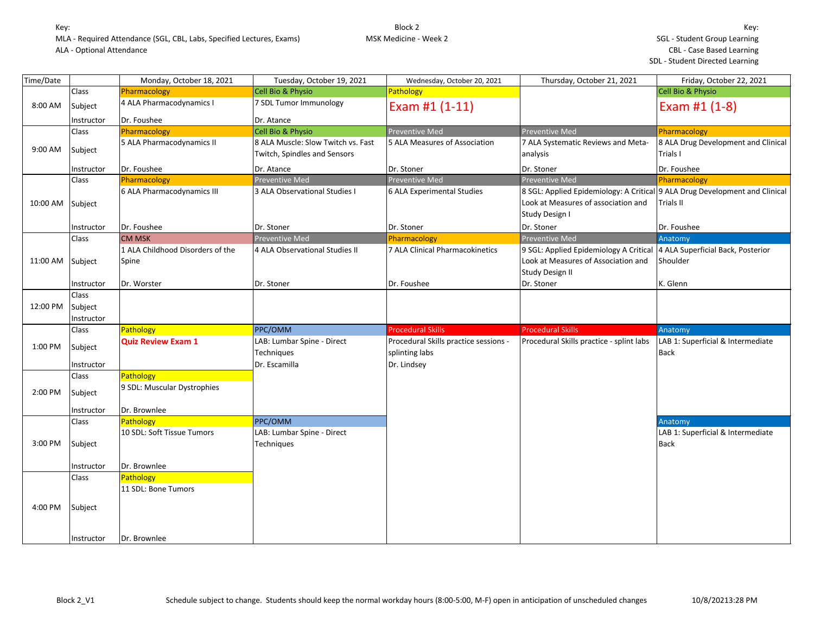| Time/Date |                                | Monday, October 18, 2021                  | Tuesday, October 19, 2021                                          | Wednesday, October 20, 2021                                            | Thursday, October 21, 2021                                                                                                           | Friday, October 22, 2021                         |
|-----------|--------------------------------|-------------------------------------------|--------------------------------------------------------------------|------------------------------------------------------------------------|--------------------------------------------------------------------------------------------------------------------------------------|--------------------------------------------------|
|           | Class                          | Pharmacology                              | Cell Bio & Physio                                                  | Pathology                                                              |                                                                                                                                      | Cell Bio & Physio                                |
| 8:00 AM   | Subject                        | 4 ALA Pharmacodynamics I                  | 7 SDL Tumor Immunology                                             | Exam #1 (1-11)                                                         |                                                                                                                                      | Exam #1 (1-8)                                    |
|           | Instructor                     | Dr. Foushee                               | Dr. Atance                                                         |                                                                        |                                                                                                                                      |                                                  |
|           | Class                          | Pharmacology                              | <b>Cell Bio &amp; Physio</b>                                       | <b>Preventive Med</b>                                                  | <b>Preventive Med</b>                                                                                                                | Pharmacology                                     |
| 9:00 AM   | Subject                        | 5 ALA Pharmacodynamics II                 | 8 ALA Muscle: Slow Twitch vs. Fast<br>Twitch, Spindles and Sensors | 5 ALA Measures of Association                                          | 7 ALA Systematic Reviews and Meta-<br>analysis                                                                                       | 8 ALA Drug Development and Clinical<br>Trials I  |
|           | Instructor                     | Dr. Foushee                               | Dr. Atance                                                         | Dr. Stoner                                                             | Dr. Stoner                                                                                                                           | Dr. Foushee                                      |
|           | Class                          | Pharmacology                              | Preventive Med                                                     | Preventive Med                                                         | Preventive Med                                                                                                                       | Pharmacology                                     |
| 10:00 AM  | Subject                        | 6 ALA Pharmacodynamics III                | 3 ALA Observational Studies I                                      | 6 ALA Experimental Studies                                             | 8 SGL: Applied Epidemiology: A Critical 9 ALA Drug Development and Clinical<br>Look at Measures of association and<br>Study Design I | Trials II                                        |
|           | Instructor                     | Dr. Foushee                               | Dr. Stoner                                                         | Dr. Stoner                                                             | Dr. Stoner                                                                                                                           | Dr. Foushee                                      |
|           | Class                          | <b>CM MSK</b>                             | Preventive Med                                                     | Pharmacology                                                           | <b>Preventive Med</b>                                                                                                                | Anatomy                                          |
| 11:00 AM  | Subject                        | 1 ALA Childhood Disorders of the<br>Spine | 4 ALA Observational Studies II                                     | 7 ALA Clinical Pharmacokinetics                                        | 9 SGL: Applied Epidemiology A Critical 4 ALA Superficial Back, Posterior<br>Look at Measures of Association and<br>Study Design II   | Shoulder                                         |
|           | Instructor                     | Dr. Worster                               | Dr. Stoner                                                         | Dr. Foushee                                                            | Dr. Stoner                                                                                                                           | K. Glenn                                         |
| 12:00 PM  | Class<br>Subject<br>Instructor |                                           |                                                                    |                                                                        |                                                                                                                                      |                                                  |
|           | Class                          | Pathology                                 | PPC/OMM                                                            | <b>Procedural Skills</b>                                               | <b>Procedural Skills</b>                                                                                                             | Anatomy                                          |
| 1:00 PM   | Subject<br>Instructor          | <b>Quiz Review Exam 1</b>                 | LAB: Lumbar Spine - Direct<br><b>Techniques</b><br>Dr. Escamilla   | Procedural Skills practice sessions -<br>splinting labs<br>Dr. Lindsey | Procedural Skills practice - splint labs                                                                                             | LAB 1: Superficial & Intermediate<br><b>Back</b> |
|           | Class                          | Pathology                                 |                                                                    |                                                                        |                                                                                                                                      |                                                  |
| 2:00 PM   | Subject                        | 9 SDL: Muscular Dystrophies               |                                                                    |                                                                        |                                                                                                                                      |                                                  |
|           | Instructor                     | Dr. Brownlee                              |                                                                    |                                                                        |                                                                                                                                      |                                                  |
|           | Class                          | Pathology                                 | PPC/OMM                                                            |                                                                        |                                                                                                                                      | Anatomy                                          |
| 3:00 PM   | Subject                        | 10 SDL: Soft Tissue Tumors                | LAB: Lumbar Spine - Direct<br>Techniques                           |                                                                        |                                                                                                                                      | LAB 1: Superficial & Intermediate<br><b>Back</b> |
|           | Instructor                     | Dr. Brownlee                              |                                                                    |                                                                        |                                                                                                                                      |                                                  |
|           | Class                          | Pathology                                 |                                                                    |                                                                        |                                                                                                                                      |                                                  |
|           |                                | 11 SDL: Bone Tumors                       |                                                                    |                                                                        |                                                                                                                                      |                                                  |
| 4:00 PM   | Subject<br>Instructor          | Dr. Brownlee                              |                                                                    |                                                                        |                                                                                                                                      |                                                  |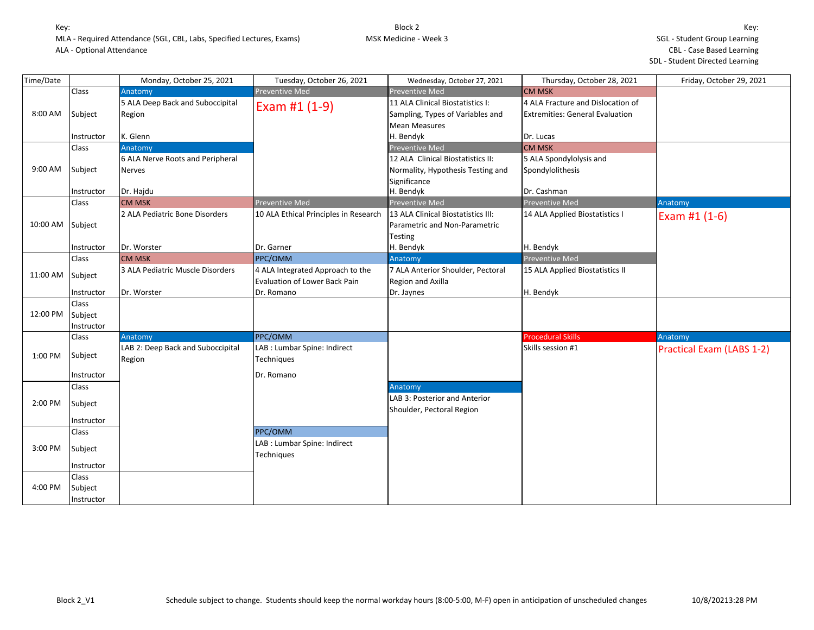| Time/Date |            | Monday, October 25, 2021          | Tuesday, October 26, 2021             | Wednesday, October 27, 2021        | Thursday, October 28, 2021             | Friday, October 29, 2021         |
|-----------|------------|-----------------------------------|---------------------------------------|------------------------------------|----------------------------------------|----------------------------------|
|           | Class      | Anatomy                           | <b>Preventive Med</b>                 | <b>Preventive Med</b>              | <b>CM MSK</b>                          |                                  |
|           |            | 5 ALA Deep Back and Suboccipital  | Exam #1 (1-9)                         | 11 ALA Clinical Biostatistics I:   | 4 ALA Fracture and Dislocation of      |                                  |
| 8:00 AM   | Subject    | Region                            |                                       | Sampling, Types of Variables and   | <b>Extremities: General Evaluation</b> |                                  |
|           |            |                                   |                                       | <b>Mean Measures</b>               |                                        |                                  |
|           | Instructor | K. Glenn                          |                                       | H. Bendyk                          | Dr. Lucas                              |                                  |
|           | Class      | Anatomy                           |                                       | <b>Preventive Med</b>              | <b>CM MSK</b>                          |                                  |
|           |            | 6 ALA Nerve Roots and Peripheral  |                                       | 12 ALA Clinical Biostatistics II:  | 5 ALA Spondylolysis and                |                                  |
| 9:00 AM   | Subject    | <b>Nerves</b>                     |                                       | Normality, Hypothesis Testing and  | Spondylolithesis                       |                                  |
|           |            |                                   |                                       | Significance                       |                                        |                                  |
|           | Instructor | Dr. Hajdu                         |                                       | H. Bendyk                          | Dr. Cashman                            |                                  |
|           | Class      | <b>CM MSK</b>                     | <b>Preventive Med</b>                 | <b>Preventive Med</b>              | <b>Preventive Med</b>                  | Anatomy                          |
|           |            | 2 ALA Pediatric Bone Disorders    | 10 ALA Ethical Principles in Research | 13 ALA Clinical Biostatistics III: | 14 ALA Applied Biostatistics I         | Exam #1 (1-6)                    |
| 10:00 AM  | Subject    |                                   |                                       | Parametric and Non-Parametric      |                                        |                                  |
|           |            |                                   |                                       | <b>Testing</b>                     |                                        |                                  |
|           | Instructor | Dr. Worster                       | Dr. Garner                            | H. Bendyk                          | H. Bendyk                              |                                  |
|           | Class      | <b>CM MSK</b>                     | PPC/OMM                               | Anatomy                            | Preventive Med                         |                                  |
| 11:00 AM  | Subject    | 3 ALA Pediatric Muscle Disorders  | 4 ALA Integrated Approach to the      | 7 ALA Anterior Shoulder, Pectoral  | 15 ALA Applied Biostatistics II        |                                  |
|           |            |                                   | Evaluation of Lower Back Pain         | Region and Axilla                  |                                        |                                  |
|           | Instructor | Dr. Worster                       | Dr. Romano                            | Dr. Jaynes                         | H. Bendyk                              |                                  |
|           | Class      |                                   |                                       |                                    |                                        |                                  |
| 12:00 PM  | Subject    |                                   |                                       |                                    |                                        |                                  |
|           | Instructor |                                   |                                       |                                    |                                        |                                  |
|           | Class      | Anatomy                           | PPC/OMM                               |                                    | <b>Procedural Skills</b>               | Anatomy                          |
| 1:00 PM   | Subject    | LAB 2: Deep Back and Suboccipital | LAB : Lumbar Spine: Indirect          |                                    | Skills session #1                      | <b>Practical Exam (LABS 1-2)</b> |
|           |            | Region                            | Techniques                            |                                    |                                        |                                  |
|           | Instructor |                                   | Dr. Romano                            |                                    |                                        |                                  |
|           | Class      |                                   |                                       | Anatomy                            |                                        |                                  |
|           |            |                                   |                                       | LAB 3: Posterior and Anterior      |                                        |                                  |
| 2:00 PM   | Subject    |                                   |                                       | Shoulder, Pectoral Region          |                                        |                                  |
|           | Instructor |                                   |                                       |                                    |                                        |                                  |
|           | Class      |                                   | PPC/OMM                               |                                    |                                        |                                  |
|           |            |                                   | LAB : Lumbar Spine: Indirect          |                                    |                                        |                                  |
| 3:00 PM   | Subject    |                                   | Techniques                            |                                    |                                        |                                  |
|           | Instructor |                                   |                                       |                                    |                                        |                                  |
|           | Class      |                                   |                                       |                                    |                                        |                                  |
| 4:00 PM   | Subject    |                                   |                                       |                                    |                                        |                                  |
|           | Instructor |                                   |                                       |                                    |                                        |                                  |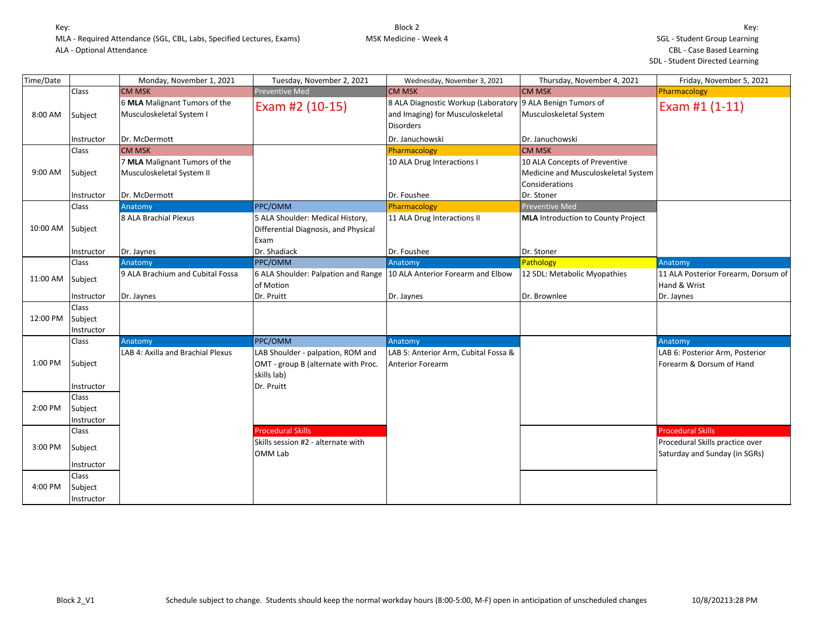| Time/Date |                                       | Monday, November 1, 2021                                   | Tuesday, November 2, 2021                                                                             | Wednesday, November 3, 2021                                                                 | Thursday, November 4, 2021                                                             | Friday, November 5, 2021                                         |
|-----------|---------------------------------------|------------------------------------------------------------|-------------------------------------------------------------------------------------------------------|---------------------------------------------------------------------------------------------|----------------------------------------------------------------------------------------|------------------------------------------------------------------|
|           | Class                                 | <b>CM MSK</b>                                              | <b>Preventive Med</b>                                                                                 | <b>CM MSK</b>                                                                               | <b>CM MSK</b>                                                                          | Pharmacology                                                     |
| 8:00 AM   | Subject                               | 6 MLA Malignant Tumors of the<br>Musculoskeletal System I  | Exam #2 (10-15)                                                                                       | 8 ALA Diagnostic Workup (Laboratory<br>and Imaging) for Musculoskeletal<br><b>Disorders</b> | 9 ALA Benign Tumors of<br>Musculoskeletal System                                       | Exam #1 (1-11)                                                   |
|           | Instructor                            | Dr. McDermott                                              |                                                                                                       | Dr. Januchowski                                                                             | Dr. Januchowski                                                                        |                                                                  |
|           | Class                                 | <b>CM MSK</b>                                              |                                                                                                       | Pharmacology                                                                                | <b>CM MSK</b>                                                                          |                                                                  |
| 9:00 AM   | Subject                               | 7 MLA Malignant Tumors of the<br>Musculoskeletal System II |                                                                                                       | 10 ALA Drug Interactions I                                                                  | 10 ALA Concepts of Preventive<br>Medicine and Musculoskeletal System<br>Considerations |                                                                  |
|           | Instructor                            | Dr. McDermott                                              |                                                                                                       | Dr. Foushee                                                                                 | Dr. Stoner                                                                             |                                                                  |
|           | Class                                 | Anatomy                                                    | PPC/OMM                                                                                               | Pharmacology                                                                                | <b>Preventive Med</b>                                                                  |                                                                  |
| 10:00 AM  | Subject                               | 8 ALA Brachial Plexus                                      | 5 ALA Shoulder: Medical History,<br>Differential Diagnosis, and Physical<br>Exam                      | 11 ALA Drug Interactions II                                                                 | MLA Introduction to County Project                                                     |                                                                  |
|           | Instructor                            | Dr. Jaynes                                                 | Dr. Shadiack                                                                                          | Dr. Foushee                                                                                 | Dr. Stoner                                                                             |                                                                  |
|           | <b>Class</b>                          | Anatomy                                                    | PPC/OMM                                                                                               | Anatomy                                                                                     | Pathology                                                                              | Anatomy                                                          |
| 11:00 AM  | Subject                               | 9 ALA Brachium and Cubital Fossa                           | 6 ALA Shoulder: Palpation and Range   10 ALA Anterior Forearm and Elbow<br>of Motion                  |                                                                                             | 12 SDL: Metabolic Myopathies                                                           | 11 ALA Posterior Forearm, Dorsum of<br>Hand & Wrist              |
|           | Instructor                            | Dr. Jaynes                                                 | Dr. Pruitt                                                                                            | Dr. Jaynes                                                                                  | Dr. Brownlee                                                                           | Dr. Jaynes                                                       |
| 12:00 PM  | <b>Class</b><br>Subject<br>Instructor |                                                            |                                                                                                       |                                                                                             |                                                                                        |                                                                  |
|           | Class                                 | Anatomy                                                    | PPC/OMM                                                                                               | Anatomy                                                                                     |                                                                                        | Anatomy                                                          |
| 1:00 PM   | Subject<br>Instructor                 | LAB 4: Axilla and Brachial Plexus                          | LAB Shoulder - palpation, ROM and<br>OMT - group B (alternate with Proc.<br>skills lab)<br>Dr. Pruitt | LAB 5: Anterior Arm, Cubital Fossa &<br><b>Anterior Forearm</b>                             |                                                                                        | LAB 6: Posterior Arm, Posterior<br>Forearm & Dorsum of Hand      |
|           | Class                                 |                                                            |                                                                                                       |                                                                                             |                                                                                        |                                                                  |
| 2:00 PM   | Subject<br>Instructor                 |                                                            |                                                                                                       |                                                                                             |                                                                                        |                                                                  |
|           | Class                                 |                                                            | <b>Procedural Skills</b>                                                                              |                                                                                             |                                                                                        | <b>Procedural Skills</b>                                         |
| 3:00 PM   | Subject                               |                                                            | Skills session #2 - alternate with<br>OMM Lab                                                         |                                                                                             |                                                                                        | Procedural Skills practice over<br>Saturday and Sunday (in SGRs) |
|           | Instructor                            |                                                            |                                                                                                       |                                                                                             |                                                                                        |                                                                  |
|           | Class                                 |                                                            |                                                                                                       |                                                                                             |                                                                                        |                                                                  |
| 4:00 PM   | Subject<br>Instructor                 |                                                            |                                                                                                       |                                                                                             |                                                                                        |                                                                  |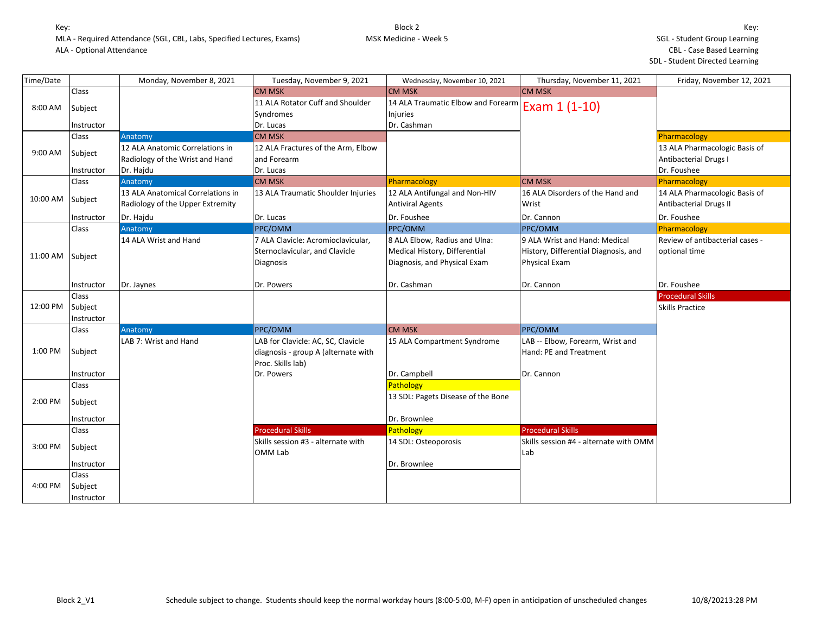| Time/Date |            | Monday, November 8, 2021          | Tuesday, November 9, 2021           | Wednesday, November 10, 2021       | Thursday, November 11, 2021            | Friday, November 12, 2021       |
|-----------|------------|-----------------------------------|-------------------------------------|------------------------------------|----------------------------------------|---------------------------------|
|           | Class      |                                   | <b>CM MSK</b>                       | <b>CM MSK</b>                      | <b>CM MSK</b>                          |                                 |
| 8:00 AM   | Subject    |                                   | 11 ALA Rotator Cuff and Shoulder    | 14 ALA Traumatic Elbow and Forearm | Exam 1 (1-10)                          |                                 |
|           |            |                                   | Syndromes                           | Injuries                           |                                        |                                 |
|           | Instructor |                                   | Dr. Lucas                           | Dr. Cashman                        |                                        |                                 |
|           | Class      | Anatomy                           | CM MSK                              |                                    |                                        | Pharmacology                    |
| 9:00 AM   | Subject    | 12 ALA Anatomic Correlations in   | 12 ALA Fractures of the Arm, Elbow  |                                    |                                        | 13 ALA Pharmacologic Basis of   |
|           |            | Radiology of the Wrist and Hand   | and Forearm                         |                                    |                                        | <b>Antibacterial Drugs I</b>    |
|           | Instructor | Dr. Hajdu                         | Dr. Lucas                           |                                    |                                        | Dr. Foushee                     |
|           | Class      | Anatomy                           | <b>CM MSK</b>                       | Pharmacology                       | <b>CM MSK</b>                          | Pharmacology                    |
| 10:00 AM  | Subject    | 13 ALA Anatomical Correlations in | 13 ALA Traumatic Shoulder Injuries  | 12 ALA Antifungal and Non-HIV      | 16 ALA Disorders of the Hand and       | 14 ALA Pharmacologic Basis of   |
|           |            | Radiology of the Upper Extremity  |                                     | <b>Antiviral Agents</b>            | Wrist                                  | <b>Antibacterial Drugs II</b>   |
|           | Instructor | Dr. Hajdu                         | Dr. Lucas                           | Dr. Foushee                        | Dr. Cannon                             | Dr. Foushee                     |
|           | Class      | Anatomy                           | PPC/OMM                             | PPC/OMM                            | <b>PPC/OMM</b>                         | Pharmacology                    |
|           |            | 14 ALA Wrist and Hand             | 7 ALA Clavicle: Acromioclavicular,  | 8 ALA Elbow, Radius and Ulna:      | 9 ALA Wrist and Hand: Medical          | Review of antibacterial cases - |
| 11:00 AM  | Subject    |                                   | Sternoclavicular, and Clavicle      | Medical History, Differential      | History, Differential Diagnosis, and   | optional time                   |
|           |            |                                   | <b>Diagnosis</b>                    | Diagnosis, and Physical Exam       | Physical Exam                          |                                 |
|           |            |                                   |                                     |                                    |                                        |                                 |
|           | Instructor | Dr. Jaynes                        | Dr. Powers                          | Dr. Cashman                        | Dr. Cannon                             | Dr. Foushee                     |
|           | Class      |                                   |                                     |                                    |                                        | <b>Procedural Skills</b>        |
| 12:00 PM  | Subject    |                                   |                                     |                                    |                                        | <b>Skills Practice</b>          |
|           | Instructor |                                   |                                     |                                    |                                        |                                 |
|           | Class      | Anatomy                           | PPC/OMM                             | <b>CM MSK</b>                      | <b>PPC/OMM</b>                         |                                 |
|           |            | LAB 7: Wrist and Hand             | LAB for Clavicle: AC, SC, Clavicle  | 15 ALA Compartment Syndrome        | LAB -- Elbow, Forearm, Wrist and       |                                 |
| 1:00 PM   | Subject    |                                   | diagnosis - group A (alternate with |                                    | Hand: PE and Treatment                 |                                 |
|           |            |                                   | Proc. Skills lab)                   |                                    |                                        |                                 |
|           | Instructor |                                   | Dr. Powers                          | Dr. Campbell                       | Dr. Cannon                             |                                 |
|           | Class      |                                   |                                     | Pathology                          |                                        |                                 |
| 2:00 PM   | Subject    |                                   |                                     | 13 SDL: Pagets Disease of the Bone |                                        |                                 |
|           |            |                                   |                                     |                                    |                                        |                                 |
|           | Instructor |                                   |                                     | Dr. Brownlee                       |                                        |                                 |
|           | Class      |                                   | <b>Procedural Skills</b>            | Pathology                          | <b>Procedural Skills</b>               |                                 |
| 3:00 PM   | Subject    |                                   | Skills session #3 - alternate with  | 14 SDL: Osteoporosis               | Skills session #4 - alternate with OMM |                                 |
|           |            |                                   | OMM Lab                             |                                    | Lab                                    |                                 |
|           | Instructor |                                   |                                     | Dr. Brownlee                       |                                        |                                 |
|           | Class      |                                   |                                     |                                    |                                        |                                 |
| 4:00 PM   | Subject    |                                   |                                     |                                    |                                        |                                 |
|           | Instructor |                                   |                                     |                                    |                                        |                                 |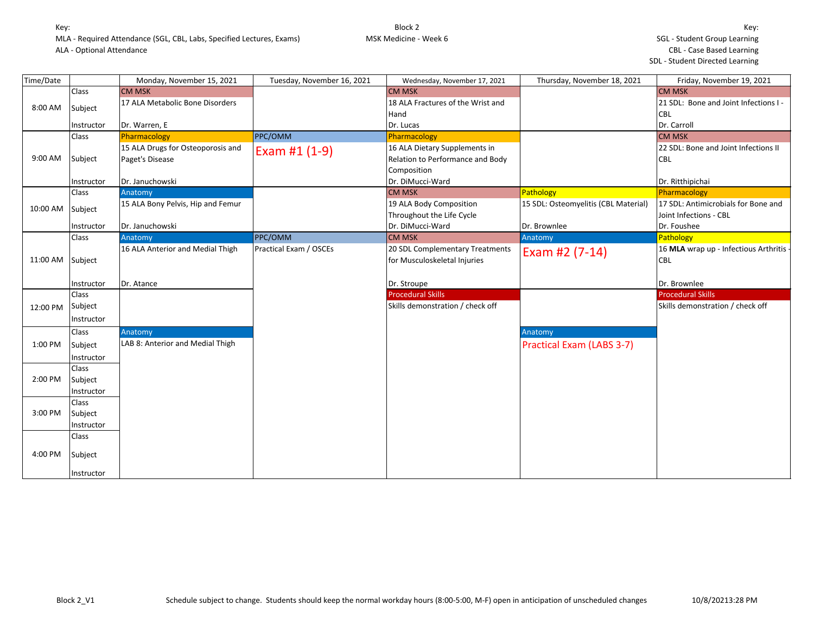| Time/Date |              | Monday, November 15, 2021         | Tuesday, November 16, 2021 | Wednesday, November 17, 2021      | Thursday, November 18, 2021          | Friday, November 19, 2021             |
|-----------|--------------|-----------------------------------|----------------------------|-----------------------------------|--------------------------------------|---------------------------------------|
|           | Class        | <b>CM MSK</b>                     |                            | <b>CM MSK</b>                     |                                      | <b>CM MSK</b>                         |
| 8:00 AM   | Subject      | 17 ALA Metabolic Bone Disorders   |                            | 18 ALA Fractures of the Wrist and |                                      | 21 SDL: Bone and Joint Infections I - |
|           |              |                                   |                            | Hand                              |                                      | <b>CBL</b>                            |
|           | Instructor   | Dr. Warren, E                     |                            | Dr. Lucas                         |                                      | Dr. Carroll                           |
|           | Class        | Pharmacology                      | PPC/OMM                    | Pharmacology                      |                                      | <b>CM MSK</b>                         |
|           |              | 15 ALA Drugs for Osteoporosis and | Exam #1 $(1-9)$            | 16 ALA Dietary Supplements in     |                                      | 22 SDL: Bone and Joint Infections II  |
| 9:00 AM   | Subject      | Paget's Disease                   |                            | Relation to Performance and Body  |                                      | <b>CBL</b>                            |
|           |              |                                   |                            | Composition                       |                                      |                                       |
|           | Instructor   | Dr. Januchowski                   |                            | Dr. DiMucci-Ward                  |                                      | Dr. Ritthipichai                      |
|           | Class        | Anatomy                           |                            | <b>CM MSK</b>                     | Pathology                            | Pharmacology                          |
| 10:00 AM  | Subject      | 15 ALA Bony Pelvis, Hip and Femur |                            | 19 ALA Body Composition           | 15 SDL: Osteomyelitis (CBL Material) | 17 SDL: Antimicrobials for Bone and   |
|           |              |                                   |                            | Throughout the Life Cycle         |                                      | Joint Infections - CBL                |
|           | Instructor   | Dr. Januchowski                   |                            | Dr. DiMucci-Ward                  | Dr. Brownlee                         | Dr. Foushee                           |
|           | Class        | Anatomy                           | PPC/OMM                    | <b>CM MSK</b>                     | Anatomy                              | Pathology                             |
|           |              | 16 ALA Anterior and Medial Thigh  | Practical Exam / OSCEs     | 20 SDL Complementary Treatments   | Exam #2 (7-14)                       | 16 MLA wrap up - Infectious Arthritis |
| 11:00 AM  | Subject      |                                   |                            | for Musculoskeletal Injuries      |                                      | <b>CBL</b>                            |
|           |              |                                   |                            |                                   |                                      |                                       |
|           | Instructor   | Dr. Atance                        |                            | Dr. Stroupe                       |                                      | Dr. Brownlee                          |
|           | <b>Class</b> |                                   |                            | <b>Procedural Skills</b>          |                                      | <b>Procedural Skills</b>              |
| 12:00 PM  | Subject      |                                   |                            | Skills demonstration / check off  |                                      | Skills demonstration / check off      |
|           | Instructor   |                                   |                            |                                   |                                      |                                       |
|           | Class        | Anatomy                           |                            |                                   | Anatomy                              |                                       |
| 1:00 PM   | Subject      | LAB 8: Anterior and Medial Thigh  |                            |                                   | <b>Practical Exam (LABS 3-7)</b>     |                                       |
|           | Instructor   |                                   |                            |                                   |                                      |                                       |
|           | Class        |                                   |                            |                                   |                                      |                                       |
| 2:00 PM   | Subject      |                                   |                            |                                   |                                      |                                       |
|           | Instructor   |                                   |                            |                                   |                                      |                                       |
|           | Class        |                                   |                            |                                   |                                      |                                       |
| 3:00 PM   | Subject      |                                   |                            |                                   |                                      |                                       |
|           | Instructor   |                                   |                            |                                   |                                      |                                       |
|           | Class        |                                   |                            |                                   |                                      |                                       |
|           |              |                                   |                            |                                   |                                      |                                       |
| 4:00 PM   | Subject      |                                   |                            |                                   |                                      |                                       |
|           |              |                                   |                            |                                   |                                      |                                       |
|           | Instructor   |                                   |                            |                                   |                                      |                                       |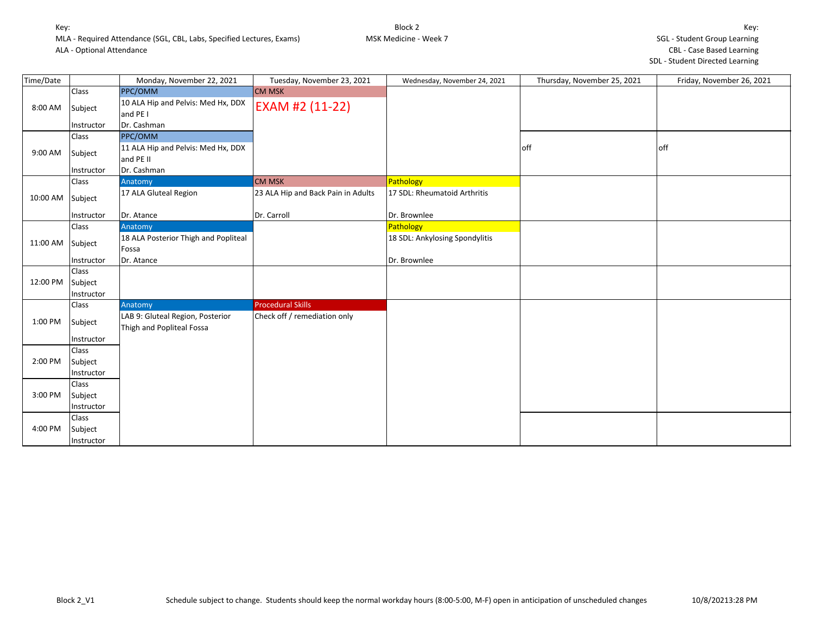| Time/Date |            | Monday, November 22, 2021                                     | Tuesday, November 23, 2021         | Wednesday, November 24, 2021   | Thursday, November 25, 2021 | Friday, November 26, 2021 |
|-----------|------------|---------------------------------------------------------------|------------------------------------|--------------------------------|-----------------------------|---------------------------|
|           | Class      | PPC/OMM                                                       | <b>CM MSK</b>                      |                                |                             |                           |
| 8:00 AM   | Subject    | 10 ALA Hip and Pelvis: Med Hx, DDX<br>and PE I                | EXAM #2 (11-22)                    |                                |                             |                           |
|           | Instructor | Dr. Cashman                                                   |                                    |                                |                             |                           |
|           | Class      | PPC/OMM                                                       |                                    |                                |                             |                           |
| 9:00 AM   | Subject    | 11 ALA Hip and Pelvis: Med Hx, DDX<br>and PE II               |                                    |                                | off                         | off                       |
|           | Instructor | Dr. Cashman                                                   |                                    |                                |                             |                           |
|           | Class      | Anatomy                                                       | <b>CM MSK</b>                      | Pathology                      |                             |                           |
| 10:00 AM  | Subject    | 17 ALA Gluteal Region                                         | 23 ALA Hip and Back Pain in Adults | 17 SDL: Rheumatoid Arthritis   |                             |                           |
|           | Instructor | Dr. Atance                                                    | Dr. Carroll                        | Dr. Brownlee                   |                             |                           |
|           | Class      | Anatomy                                                       |                                    | Pathology                      |                             |                           |
| 11:00 AM  | Subject    | 18 ALA Posterior Thigh and Popliteal<br>Fossa                 |                                    | 18 SDL: Ankylosing Spondylitis |                             |                           |
|           | Instructor | Dr. Atance                                                    |                                    | Dr. Brownlee                   |                             |                           |
|           | Class      |                                                               |                                    |                                |                             |                           |
| 12:00 PM  | Subject    |                                                               |                                    |                                |                             |                           |
|           | Instructor |                                                               |                                    |                                |                             |                           |
|           | Class      | Anatomy                                                       | <b>Procedural Skills</b>           |                                |                             |                           |
| 1:00 PM   | Subject    | LAB 9: Gluteal Region, Posterior<br>Thigh and Popliteal Fossa | Check off / remediation only       |                                |                             |                           |
|           | Instructor |                                                               |                                    |                                |                             |                           |
|           | Class      |                                                               |                                    |                                |                             |                           |
| 2:00 PM   | Subject    |                                                               |                                    |                                |                             |                           |
|           | Instructor |                                                               |                                    |                                |                             |                           |
|           | Class      |                                                               |                                    |                                |                             |                           |
| 3:00 PM   | Subject    |                                                               |                                    |                                |                             |                           |
|           | Instructor |                                                               |                                    |                                |                             |                           |
|           | Class      |                                                               |                                    |                                |                             |                           |
| 4:00 PM   | Subject    |                                                               |                                    |                                |                             |                           |
|           | Instructor |                                                               |                                    |                                |                             |                           |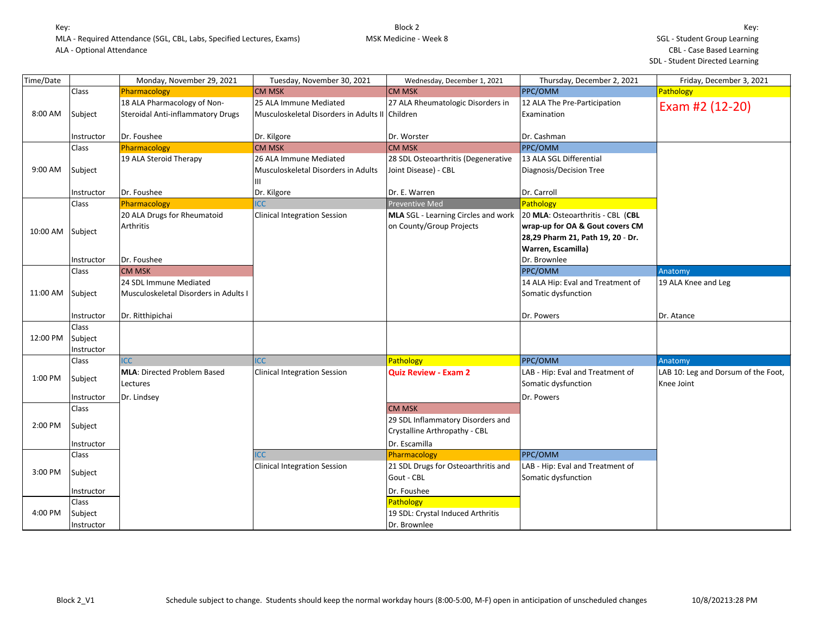| Time/Date |                                | Monday, November 29, 2021                                        | Tuesday, November 30, 2021                                                | Wednesday, December 1, 2021                                        | Thursday, December 2, 2021                                                                                                      | Friday, December 3, 2021                          |
|-----------|--------------------------------|------------------------------------------------------------------|---------------------------------------------------------------------------|--------------------------------------------------------------------|---------------------------------------------------------------------------------------------------------------------------------|---------------------------------------------------|
|           | Class                          | Pharmacology                                                     | <b>CM MSK</b>                                                             | <b>CM MSK</b>                                                      | PPC/OMM                                                                                                                         | Pathology                                         |
| 8:00 AM   | Subject                        | 18 ALA Pharmacology of Non-<br>Steroidal Anti-inflammatory Drugs | 25 ALA Immune Mediated<br>Musculoskeletal Disorders in Adults II Children | 27 ALA Rheumatologic Disorders in                                  | 12 ALA The Pre-Participation<br>Examination                                                                                     | Exam #2 (12-20)                                   |
|           | Instructor                     | Dr. Foushee                                                      | Dr. Kilgore                                                               | Dr. Worster                                                        | Dr. Cashman                                                                                                                     |                                                   |
|           | Class                          | Pharmacology                                                     | <b>CM MSK</b>                                                             | <b>CM MSK</b>                                                      | PPC/OMM                                                                                                                         |                                                   |
| 9:00 AM   | Subject                        | 19 ALA Steroid Therapy                                           | 26 ALA Immune Mediated<br>Musculoskeletal Disorders in Adults<br>Ш        | 28 SDL Osteoarthritis (Degenerative<br>Joint Disease) - CBL        | 13 ALA SGL Differential<br>Diagnosis/Decision Tree                                                                              |                                                   |
|           | Instructor                     | Dr. Foushee                                                      | Dr. Kilgore                                                               | Dr. E. Warren                                                      | Dr. Carroll                                                                                                                     |                                                   |
|           | Class                          | Pharmacology                                                     | <b>ICC</b>                                                                | <b>Preventive Med</b>                                              | Pathology                                                                                                                       |                                                   |
| 10:00 AM  | Subject                        | 20 ALA Drugs for Rheumatoid<br>Arthritis                         | <b>Clinical Integration Session</b>                                       | MLA SGL - Learning Circles and work<br>on County/Group Projects    | 20 MLA: Osteoarthritis - CBL (CBL<br>wrap-up for OA & Gout covers CM<br>28,29 Pharm 21, Path 19, 20 - Dr.<br>Warren, Escamilla) |                                                   |
|           | Instructor                     | Dr. Foushee                                                      |                                                                           |                                                                    | Dr. Brownlee                                                                                                                    |                                                   |
|           | Class                          | <b>CM MSK</b>                                                    |                                                                           |                                                                    | PPC/OMM                                                                                                                         | Anatomy                                           |
| 11:00 AM  | Subject                        | 24 SDL Immune Mediated<br>Musculoskeletal Disorders in Adults I  |                                                                           |                                                                    | 14 ALA Hip: Eval and Treatment of<br>Somatic dysfunction                                                                        | 19 ALA Knee and Leg                               |
|           | Instructor                     | Dr. Ritthipichai                                                 |                                                                           |                                                                    | Dr. Powers                                                                                                                      | Dr. Atance                                        |
| 12:00 PM  | Class<br>Subject<br>Instructor |                                                                  |                                                                           |                                                                    |                                                                                                                                 |                                                   |
|           | Class                          | <b>ICC</b>                                                       | <b>ICC</b>                                                                | Pathology                                                          | PPC/OMM                                                                                                                         | Anatomy                                           |
| 1:00 PM   | Subject<br>Instructor          | <b>MLA: Directed Problem Based</b><br>Lectures<br>Dr. Lindsey    | <b>Clinical Integration Session</b>                                       | <b>Quiz Review - Exam 2</b>                                        | LAB - Hip: Eval and Treatment of<br>Somatic dysfunction<br>Dr. Powers                                                           | LAB 10: Leg and Dorsum of the Foot,<br>Knee Joint |
|           | Class                          |                                                                  |                                                                           | <b>CM MSK</b>                                                      |                                                                                                                                 |                                                   |
| 2:00 PM   | Subject                        |                                                                  |                                                                           | 29 SDL Inflammatory Disorders and<br>Crystalline Arthropathy - CBL |                                                                                                                                 |                                                   |
|           | Instructor                     |                                                                  |                                                                           | Dr. Escamilla                                                      |                                                                                                                                 |                                                   |
|           | Class                          |                                                                  | <b>CC</b>                                                                 | Pharmacology                                                       | PPC/OMM                                                                                                                         |                                                   |
| 3:00 PM   | Subject                        |                                                                  | <b>Clinical Integration Session</b>                                       | 21 SDL Drugs for Osteoarthritis and<br>Gout - CBL                  | LAB - Hip: Eval and Treatment of<br>Somatic dysfunction                                                                         |                                                   |
|           | Instructor                     |                                                                  |                                                                           | Dr. Foushee                                                        |                                                                                                                                 |                                                   |
|           | Class                          |                                                                  |                                                                           | Pathology                                                          |                                                                                                                                 |                                                   |
| 4:00 PM   | Subject<br>Instructor          |                                                                  |                                                                           | 19 SDL: Crystal Induced Arthritis<br>Dr. Brownlee                  |                                                                                                                                 |                                                   |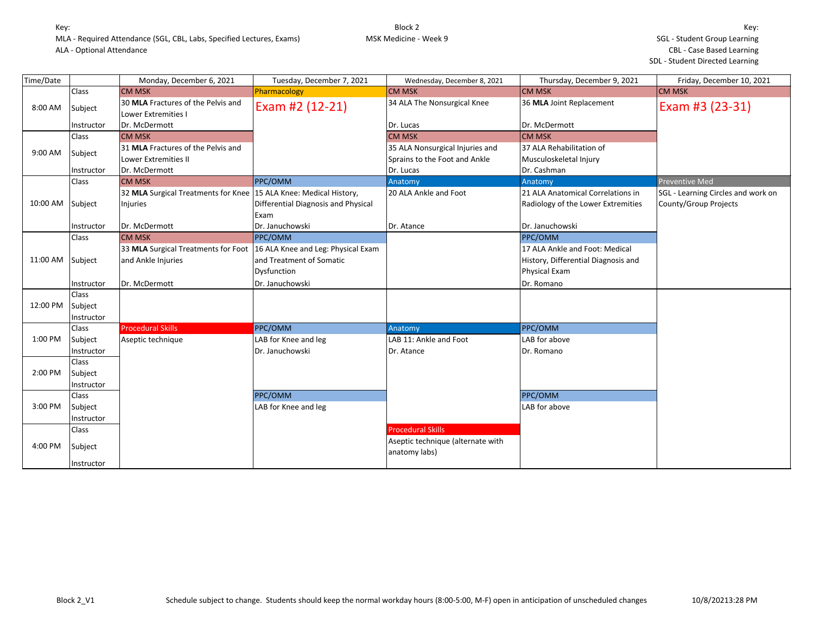| Time/Date |              | Monday, December 6, 2021                                            | Tuesday, December 7, 2021           | Wednesday, December 8, 2021       | Thursday, December 9, 2021          | Friday, December 10, 2021          |
|-----------|--------------|---------------------------------------------------------------------|-------------------------------------|-----------------------------------|-------------------------------------|------------------------------------|
|           | Class        | <b>CM MSK</b>                                                       | Pharmacology                        | <b>CM MSK</b>                     | <b>CM MSK</b>                       | <b>CM MSK</b>                      |
| 8:00 AM   | Subject      | 30 MLA Fractures of the Pelvis and<br>Lower Extremities I           | Exam #2 (12-21)                     | 34 ALA The Nonsurgical Knee       | 36 MLA Joint Replacement            | Exam #3 (23-31)                    |
|           | Instructor   | Dr. McDermott                                                       |                                     | Dr. Lucas                         | Dr. McDermott                       |                                    |
|           | Class        | <b>CM MSK</b>                                                       |                                     | <b>CM MSK</b>                     | <b>CM MSK</b>                       |                                    |
| 9:00 AM   |              | 31 MLA Fractures of the Pelvis and                                  |                                     | 35 ALA Nonsurgical Injuries and   | 37 ALA Rehabilitation of            |                                    |
|           | Subject      | Lower Extremities II                                                |                                     | Sprains to the Foot and Ankle     | Musculoskeletal Injury              |                                    |
|           | Instructor   | Dr. McDermott                                                       |                                     | Dr. Lucas                         | Dr. Cashman                         |                                    |
|           | Class        | <b>CM MSK</b>                                                       | <b>PPC/OMM</b>                      | Anatomy                           | Anatomy                             | Preventive Med                     |
|           |              | 32 MLA Surgical Treatments for Knee   15 ALA Knee: Medical History, |                                     | 20 ALA Ankle and Foot             | 21 ALA Anatomical Correlations in   | SGL - Learning Circles and work on |
| 10:00 AM  | Subject      | <b>Injuries</b>                                                     | Differential Diagnosis and Physical |                                   | Radiology of the Lower Extremities  | County/Group Projects              |
|           |              |                                                                     | Exam                                |                                   |                                     |                                    |
|           | Instructor   | Dr. McDermott                                                       | Dr. Januchowski                     | Dr. Atance                        | Dr. Januchowski                     |                                    |
|           | <b>Class</b> | <b>CM MSK</b>                                                       | <b>PPC/OMM</b>                      |                                   | PPC/OMM                             |                                    |
|           |              | 33 MLA Surgical Treatments for Foot                                 | 16 ALA Knee and Leg: Physical Exam  |                                   | 17 ALA Ankle and Foot: Medical      |                                    |
| 11:00 AM  | Subject      | and Ankle Injuries                                                  | and Treatment of Somatic            |                                   | History, Differential Diagnosis and |                                    |
|           |              |                                                                     | Dysfunction                         |                                   | Physical Exam                       |                                    |
|           | Instructor   | Dr. McDermott                                                       | Dr. Januchowski                     |                                   | Dr. Romano                          |                                    |
|           | Class        |                                                                     |                                     |                                   |                                     |                                    |
| 12:00 PM  | Subject      |                                                                     |                                     |                                   |                                     |                                    |
|           | Instructor   |                                                                     |                                     |                                   |                                     |                                    |
|           | <b>Class</b> | <b>Procedural Skills</b>                                            | PPC/OMM                             | Anatomy                           | PPC/OMM                             |                                    |
| 1:00 PM   | Subject      | Aseptic technique                                                   | LAB for Knee and leg                | LAB 11: Ankle and Foot            | LAB for above                       |                                    |
|           | Instructor   |                                                                     | Dr. Januchowski                     | Dr. Atance                        | Dr. Romano                          |                                    |
|           | Class        |                                                                     |                                     |                                   |                                     |                                    |
| 2:00 PM   | Subject      |                                                                     |                                     |                                   |                                     |                                    |
|           | Instructor   |                                                                     |                                     |                                   |                                     |                                    |
|           | Class        |                                                                     | PPC/OMM                             |                                   | PPC/OMM                             |                                    |
| 3:00 PM   | Subject      |                                                                     | LAB for Knee and leg                |                                   | LAB for above                       |                                    |
|           | Instructor   |                                                                     |                                     |                                   |                                     |                                    |
|           | Class        |                                                                     |                                     | <b>Procedural Skills</b>          |                                     |                                    |
|           |              |                                                                     |                                     | Aseptic technique (alternate with |                                     |                                    |
| 4:00 PM   | Subject      |                                                                     |                                     | anatomy labs)                     |                                     |                                    |
|           | Instructor   |                                                                     |                                     |                                   |                                     |                                    |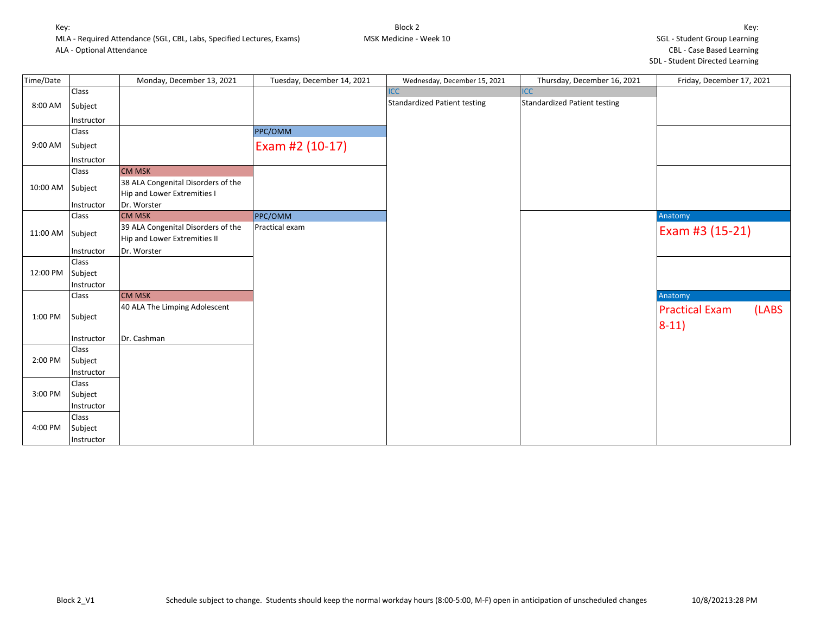| Time/Date |            | Monday, December 13, 2021                                         | Tuesday, December 14, 2021 | Wednesday, December 15, 2021        | Thursday, December 16, 2021         | Friday, December 17, 2021 |       |
|-----------|------------|-------------------------------------------------------------------|----------------------------|-------------------------------------|-------------------------------------|---------------------------|-------|
|           | Class      |                                                                   |                            | <b>ICC</b>                          | <b>ICC</b>                          |                           |       |
| 8:00 AM   | Subject    |                                                                   |                            | <b>Standardized Patient testing</b> | <b>Standardized Patient testing</b> |                           |       |
|           | Instructor |                                                                   |                            |                                     |                                     |                           |       |
|           | Class      |                                                                   | PPC/OMM                    |                                     |                                     |                           |       |
| 9:00 AM   | Subject    |                                                                   | Exam #2 (10-17)            |                                     |                                     |                           |       |
|           | Instructor |                                                                   |                            |                                     |                                     |                           |       |
|           | Class      | <b>CM MSK</b>                                                     |                            |                                     |                                     |                           |       |
| 10:00 AM  | Subject    | 38 ALA Congenital Disorders of the<br>Hip and Lower Extremities I |                            |                                     |                                     |                           |       |
|           | Instructor | Dr. Worster                                                       |                            |                                     |                                     |                           |       |
|           | Class      | <b>CM MSK</b>                                                     | PPC/OMM                    |                                     |                                     | Anatomy                   |       |
| 11:00 AM  | Subject    | 39 ALA Congenital Disorders of the                                | Practical exam             |                                     |                                     | Exam #3 (15-21)           |       |
|           |            | Hip and Lower Extremities II                                      |                            |                                     |                                     |                           |       |
|           | Instructor | Dr. Worster                                                       |                            |                                     |                                     |                           |       |
|           | Class      |                                                                   |                            |                                     |                                     |                           |       |
| 12:00 PM  | Subject    |                                                                   |                            |                                     |                                     |                           |       |
|           | Instructor |                                                                   |                            |                                     |                                     |                           |       |
|           | Class      | <b>CM MSK</b>                                                     |                            |                                     |                                     | Anatomy                   |       |
|           |            | 40 ALA The Limping Adolescent                                     |                            |                                     |                                     | <b>Practical Exam</b>     | (LABS |
| 1:00 PM   | Subject    |                                                                   |                            |                                     |                                     | $8-11)$                   |       |
|           | Instructor | Dr. Cashman                                                       |                            |                                     |                                     |                           |       |
|           | Class      |                                                                   |                            |                                     |                                     |                           |       |
| 2:00 PM   | Subject    |                                                                   |                            |                                     |                                     |                           |       |
|           | Instructor |                                                                   |                            |                                     |                                     |                           |       |
|           | Class      |                                                                   |                            |                                     |                                     |                           |       |
| 3:00 PM   | Subject    |                                                                   |                            |                                     |                                     |                           |       |
|           | Instructor |                                                                   |                            |                                     |                                     |                           |       |
|           | Class      |                                                                   |                            |                                     |                                     |                           |       |
| 4:00 PM   | Subject    |                                                                   |                            |                                     |                                     |                           |       |
|           | Instructor |                                                                   |                            |                                     |                                     |                           |       |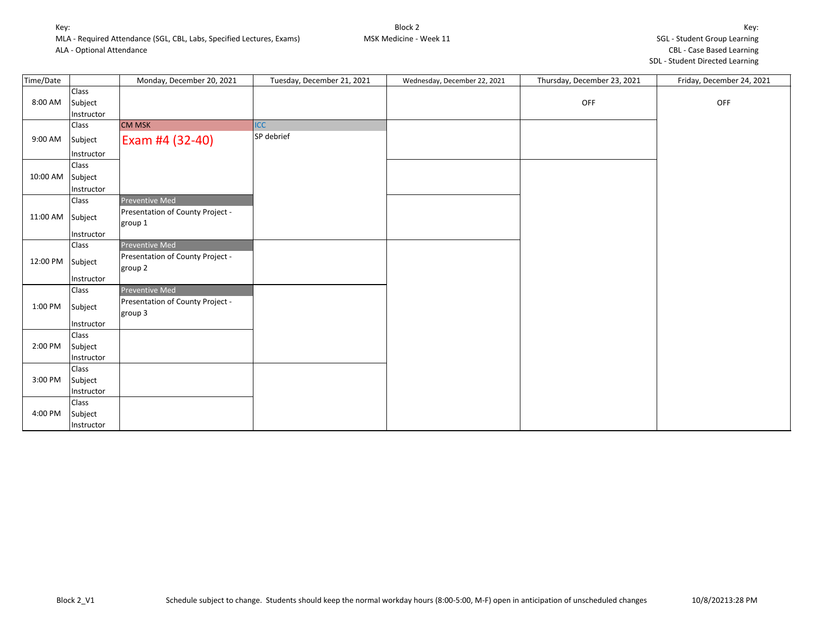| Time/Date |            | Monday, December 20, 2021                   | Tuesday, December 21, 2021 | Wednesday, December 22, 2021 | Thursday, December 23, 2021 | Friday, December 24, 2021 |
|-----------|------------|---------------------------------------------|----------------------------|------------------------------|-----------------------------|---------------------------|
|           | Class      |                                             |                            |                              |                             |                           |
| 8:00 AM   | Subject    |                                             |                            |                              | OFF                         | OFF                       |
|           | Instructor |                                             |                            |                              |                             |                           |
|           | Class      | <b>CM MSK</b>                               | <b>ICC</b>                 |                              |                             |                           |
| 9:00 AM   | Subject    | Exam #4 (32-40)                             | SP debrief                 |                              |                             |                           |
|           | Instructor |                                             |                            |                              |                             |                           |
|           | Class      |                                             |                            |                              |                             |                           |
| 10:00 AM  | Subject    |                                             |                            |                              |                             |                           |
|           | Instructor |                                             |                            |                              |                             |                           |
|           | Class      | Preventive Med                              |                            |                              |                             |                           |
| 11:00 AM  | Subject    | Presentation of County Project -<br>group 1 |                            |                              |                             |                           |
|           | Instructor |                                             |                            |                              |                             |                           |
|           | Class      | Preventive Med                              |                            |                              |                             |                           |
| 12:00 PM  | Subject    | Presentation of County Project -<br>group 2 |                            |                              |                             |                           |
|           | Instructor |                                             |                            |                              |                             |                           |
|           | Class      | Preventive Med                              |                            |                              |                             |                           |
| 1:00 PM   | Subject    | Presentation of County Project -<br>group 3 |                            |                              |                             |                           |
|           | Instructor |                                             |                            |                              |                             |                           |
|           | Class      |                                             |                            |                              |                             |                           |
| 2:00 PM   | Subject    |                                             |                            |                              |                             |                           |
|           | Instructor |                                             |                            |                              |                             |                           |
|           | Class      |                                             |                            |                              |                             |                           |
| 3:00 PM   | Subject    |                                             |                            |                              |                             |                           |
|           | Instructor |                                             |                            |                              |                             |                           |
|           | Class      |                                             |                            |                              |                             |                           |
| 4:00 PM   | Subject    |                                             |                            |                              |                             |                           |
|           | Instructor |                                             |                            |                              |                             |                           |

Block 2 MSK Medicine - Week 11 Key: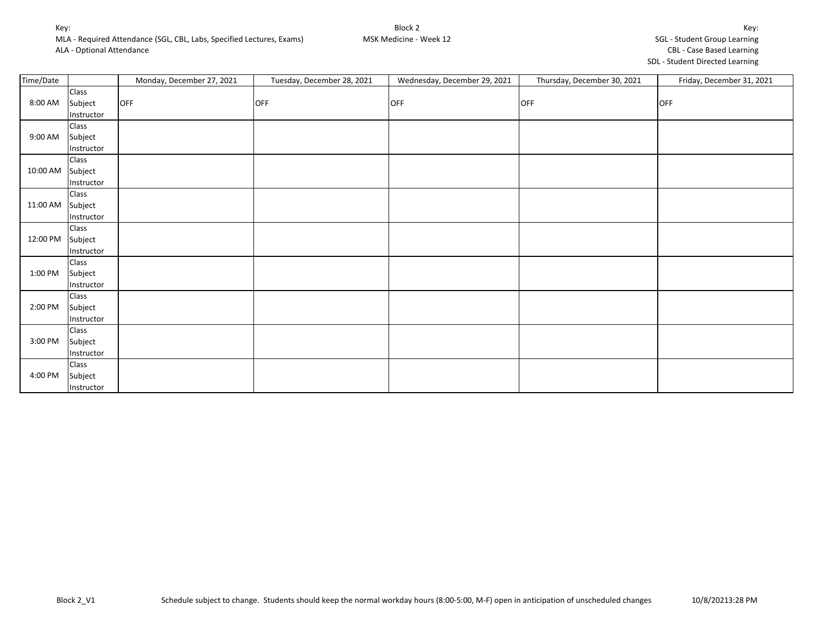MLA - Required Attendance (SGL, CBL, Labs, Specified Lectures, Exams)

ALA - Optional Attendance

| Key:                                |
|-------------------------------------|
| <b>SGL - Student Group Learning</b> |
| <b>CBL - Case Based Learning</b>    |
| SDL - Student Directed Learning     |

| Time/Date |            | Monday, December 27, 2021 | Tuesday, December 28, 2021 | Wednesday, December 29, 2021 | Thursday, December 30, 2021 | Friday, December 31, 2021 |
|-----------|------------|---------------------------|----------------------------|------------------------------|-----------------------------|---------------------------|
|           | Class      |                           |                            |                              |                             |                           |
| 8:00 AM   | Subject    | <b>OFF</b>                | <b>OFF</b>                 | <b>OFF</b>                   | <b>OFF</b>                  | OFF                       |
|           | Instructor |                           |                            |                              |                             |                           |
| 9:00 AM   | Class      |                           |                            |                              |                             |                           |
|           | Subject    |                           |                            |                              |                             |                           |
|           | Instructor |                           |                            |                              |                             |                           |
| 10:00 AM  | Class      |                           |                            |                              |                             |                           |
|           | Subject    |                           |                            |                              |                             |                           |
|           | Instructor |                           |                            |                              |                             |                           |
| 11:00 AM  | Class      |                           |                            |                              |                             |                           |
|           | Subject    |                           |                            |                              |                             |                           |
|           | Instructor |                           |                            |                              |                             |                           |
|           | Class      |                           |                            |                              |                             |                           |
| 12:00 PM  | Subject    |                           |                            |                              |                             |                           |
|           | Instructor |                           |                            |                              |                             |                           |
| 1:00 PM   | Class      |                           |                            |                              |                             |                           |
|           | Subject    |                           |                            |                              |                             |                           |
|           | Instructor |                           |                            |                              |                             |                           |
| 2:00 PM   | Class      |                           |                            |                              |                             |                           |
|           | Subject    |                           |                            |                              |                             |                           |
|           | Instructor |                           |                            |                              |                             |                           |
| 3:00 PM   | Class      |                           |                            |                              |                             |                           |
|           | Subject    |                           |                            |                              |                             |                           |
|           | Instructor |                           |                            |                              |                             |                           |
| 4:00 PM   | Class      |                           |                            |                              |                             |                           |
|           | Subject    |                           |                            |                              |                             |                           |
|           | Instructor |                           |                            |                              |                             |                           |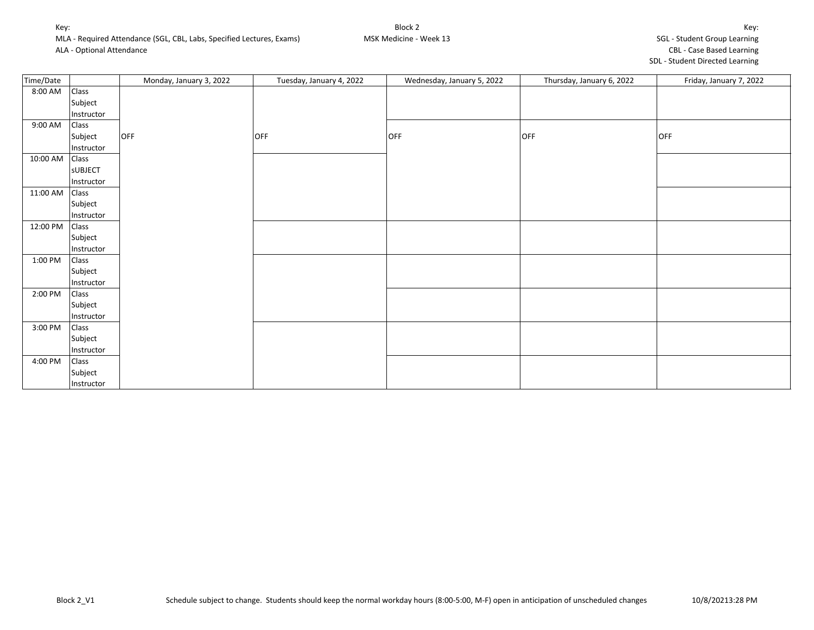| Time/Date |                | Monday, January 3, 2022 | Tuesday, January 4, 2022 | Wednesday, January 5, 2022 | Thursday, January 6, 2022 | Friday, January 7, 2022 |
|-----------|----------------|-------------------------|--------------------------|----------------------------|---------------------------|-------------------------|
| 8:00 AM   | Class          |                         |                          |                            |                           |                         |
|           | Subject        |                         |                          |                            |                           |                         |
|           | Instructor     |                         |                          |                            |                           |                         |
| 9:00 AM   | Class          |                         |                          |                            |                           |                         |
|           | Subject        | OFF                     | <b>OFF</b>               | OFF                        | OFF                       | OFF                     |
|           | Instructor     |                         |                          |                            |                           |                         |
| 10:00 AM  | Class          |                         |                          |                            |                           |                         |
|           | <b>SUBJECT</b> |                         |                          |                            |                           |                         |
|           | Instructor     |                         |                          |                            |                           |                         |
| 11:00 AM  | Class          |                         |                          |                            |                           |                         |
|           | Subject        |                         |                          |                            |                           |                         |
|           | Instructor     |                         |                          |                            |                           |                         |
| 12:00 PM  | Class          |                         |                          |                            |                           |                         |
|           | Subject        |                         |                          |                            |                           |                         |
|           | Instructor     |                         |                          |                            |                           |                         |
| 1:00 PM   | Class          |                         |                          |                            |                           |                         |
|           | Subject        |                         |                          |                            |                           |                         |
|           | Instructor     |                         |                          |                            |                           |                         |
| 2:00 PM   | Class          |                         |                          |                            |                           |                         |
|           | Subject        |                         |                          |                            |                           |                         |
|           | Instructor     |                         |                          |                            |                           |                         |
| 3:00 PM   | Class          |                         |                          |                            |                           |                         |
|           | Subject        |                         |                          |                            |                           |                         |
|           | Instructor     |                         |                          |                            |                           |                         |
| 4:00 PM   | Class          |                         |                          |                            |                           |                         |
|           | Subject        |                         |                          |                            |                           |                         |
|           | Instructor     |                         |                          |                            |                           |                         |